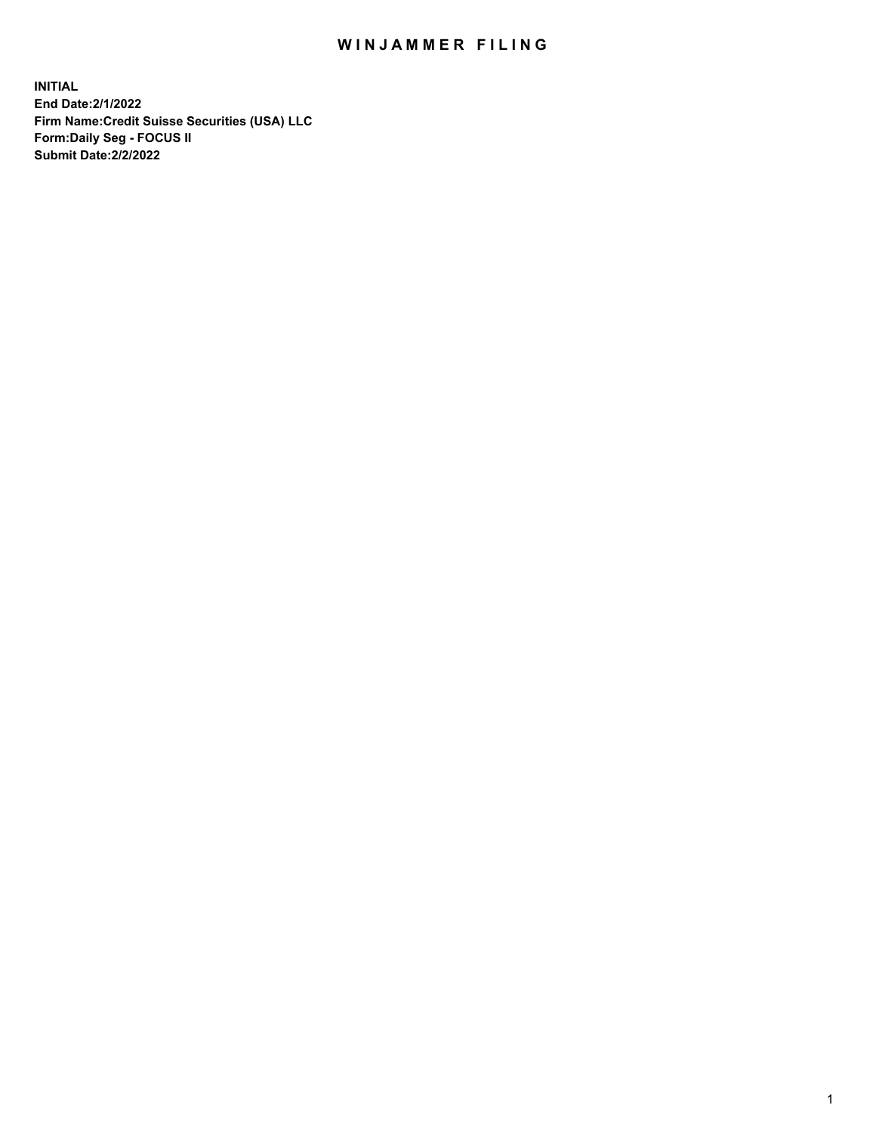# WIN JAMMER FILING

**INITIAL End Date:2/1/2022 Firm Name:Credit Suisse Securities (USA) LLC Form:Daily Seg - FOCUS II Submit Date:2/2/2022**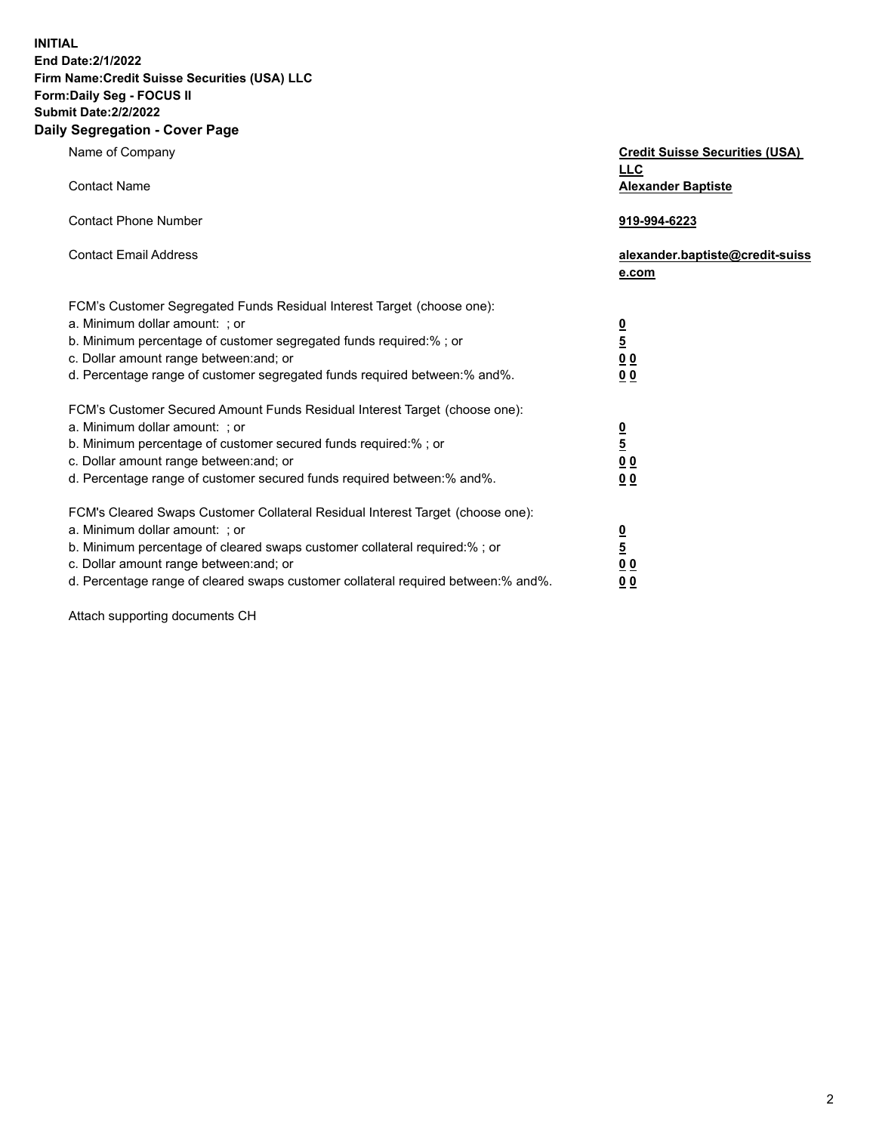**INITIAL** 

### **End Date:2/1/2022 Firm Name:Credit Suisse Securities (USA) LLC Form:Daily Seg - FOCUS II**

## **Submit Date:2/2/2022**

### **Daily Segregation - Cover Page**

| Name of Company                                                                   | <b>Credit Suisse Securities (USA)</b><br><b>LLC</b> |
|-----------------------------------------------------------------------------------|-----------------------------------------------------|
| <b>Contact Name</b>                                                               | <b>Alexander Baptiste</b>                           |
| <b>Contact Phone Number</b>                                                       | 919-994-6223                                        |
| <b>Contact Email Address</b>                                                      | alexander.baptiste@credit-suiss<br>e.com            |
| FCM's Customer Segregated Funds Residual Interest Target (choose one):            |                                                     |
| a. Minimum dollar amount: ; or                                                    |                                                     |
| b. Minimum percentage of customer segregated funds required:% ; or                | 0<br>5<br>0 0                                       |
| c. Dollar amount range between: and; or                                           |                                                     |
| d. Percentage range of customer segregated funds required between:% and%.         | 00                                                  |
| FCM's Customer Secured Amount Funds Residual Interest Target (choose one):        |                                                     |
| a. Minimum dollar amount: ; or                                                    |                                                     |
| b. Minimum percentage of customer secured funds required:% ; or                   | 0<br>5<br>0 0                                       |
| c. Dollar amount range between: and; or                                           |                                                     |
| d. Percentage range of customer secured funds required between:% and%.            | 0 <sub>0</sub>                                      |
| FCM's Cleared Swaps Customer Collateral Residual Interest Target (choose one):    |                                                     |
| a. Minimum dollar amount: ; or                                                    | $\frac{0}{5}$                                       |
| b. Minimum percentage of cleared swaps customer collateral required:% ; or        |                                                     |
| c. Dollar amount range between: and; or                                           | 0 <sub>0</sub>                                      |
| d. Percentage range of cleared swaps customer collateral required between:% and%. | 0 <sub>0</sub>                                      |

Attach supporting documents CH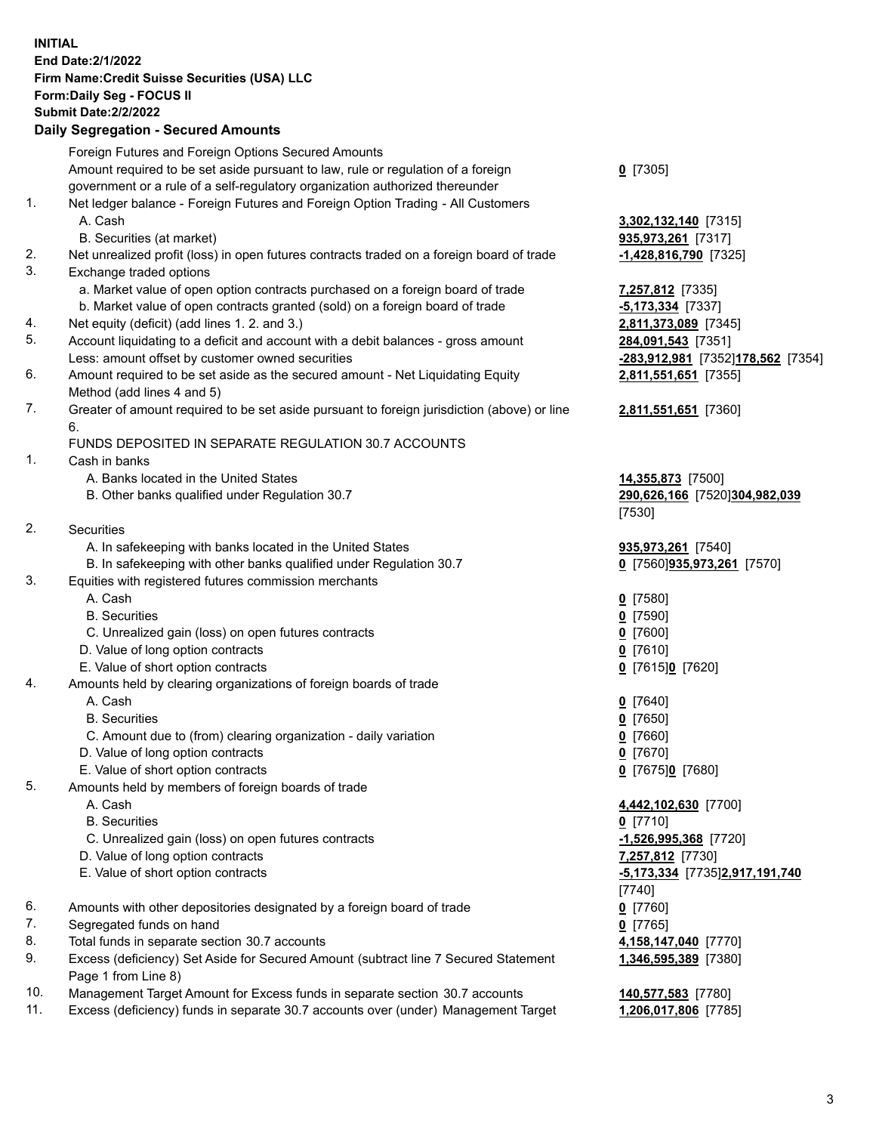**INITIAL End Date:2/1/2022 Firm Name:Credit Suisse Securities (USA) LLC Form:Daily Seg - FOCUS II Submit Date:2/2/2022** 

### **Daily Segregation - Secured Amounts**

|     | Foreign Futures and Foreign Options Secured Amounts                                         |                                   |
|-----|---------------------------------------------------------------------------------------------|-----------------------------------|
|     | Amount required to be set aside pursuant to law, rule or regulation of a foreign            | $Q$ [7305]                        |
|     | government or a rule of a self-regulatory organization authorized thereunder                |                                   |
| 1.  | Net ledger balance - Foreign Futures and Foreign Option Trading - All Customers             |                                   |
|     | A. Cash                                                                                     | 3,302,132,140 [7315]              |
|     | B. Securities (at market)                                                                   | 935,973,261 [7317]                |
| 2.  | Net unrealized profit (loss) in open futures contracts traded on a foreign board of trade   | $-1,428,816,790$ [7325]           |
| 3.  | Exchange traded options                                                                     |                                   |
|     | a. Market value of open option contracts purchased on a foreign board of trade              | 7,257,812 [7335]                  |
|     | b. Market value of open contracts granted (sold) on a foreign board of trade                | $-5,173,334$ [7337]               |
| 4.  | Net equity (deficit) (add lines 1. 2. and 3.)                                               | 2,811,373,089 [7345]              |
| 5.  | Account liquidating to a deficit and account with a debit balances - gross amount           | 284,091,543 [7351]                |
|     | Less: amount offset by customer owned securities                                            | -283,912,981 [7352]178,562 [7354] |
| 6.  | Amount required to be set aside as the secured amount - Net Liquidating Equity              | 2,811,551,651 [7355]              |
|     | Method (add lines 4 and 5)                                                                  |                                   |
| 7.  | Greater of amount required to be set aside pursuant to foreign jurisdiction (above) or line | 2,811,551,651 [7360]              |
|     | 6.                                                                                          |                                   |
|     | FUNDS DEPOSITED IN SEPARATE REGULATION 30.7 ACCOUNTS                                        |                                   |
| 1.  | Cash in banks                                                                               |                                   |
|     | A. Banks located in the United States                                                       | 14,355,873 [7500]                 |
|     | B. Other banks qualified under Regulation 30.7                                              | 290,626,166 [7520]304,982,039     |
|     |                                                                                             | [7530]                            |
| 2.  | <b>Securities</b>                                                                           |                                   |
|     | A. In safekeeping with banks located in the United States                                   | 935,973,261 [7540]                |
|     | B. In safekeeping with other banks qualified under Regulation 30.7                          | 0 [7560] 935, 973, 261 [7570]     |
| 3.  | Equities with registered futures commission merchants                                       |                                   |
|     | A. Cash                                                                                     | $0$ [7580]                        |
|     | <b>B.</b> Securities                                                                        | $0$ [7590]                        |
|     | C. Unrealized gain (loss) on open futures contracts                                         | $Q$ [7600]                        |
|     | D. Value of long option contracts                                                           | $0$ [7610]                        |
|     | E. Value of short option contracts                                                          | 0 [7615]0 [7620]                  |
| 4.  | Amounts held by clearing organizations of foreign boards of trade                           |                                   |
|     | A. Cash                                                                                     | $0$ [7640]                        |
|     | <b>B.</b> Securities                                                                        | $0$ [7650]                        |
|     | C. Amount due to (from) clearing organization - daily variation                             | $0$ [7660]                        |
|     | D. Value of long option contracts                                                           | $0$ [7670]                        |
|     | E. Value of short option contracts                                                          | $0$ [7675] $0$ [7680]             |
| 5.  | Amounts held by members of foreign boards of trade                                          |                                   |
|     | A. Cash                                                                                     | 4,442,102,630 [7700]              |
|     | <b>B.</b> Securities                                                                        | $0$ [7710]                        |
|     | C. Unrealized gain (loss) on open futures contracts                                         | $-1,526,995,368$ [7720]           |
|     | D. Value of long option contracts                                                           | 7,257,812 [7730]                  |
|     | E. Value of short option contracts                                                          | -5,173,334 [7735]2,917,191,740    |
|     |                                                                                             | $[7740]$                          |
| 6.  | Amounts with other depositories designated by a foreign board of trade                      | $0$ [7760]                        |
| 7.  | Segregated funds on hand                                                                    | $0$ [7765]                        |
| 8.  | Total funds in separate section 30.7 accounts                                               | 4,158,147,040 [7770]              |
| 9.  | Excess (deficiency) Set Aside for Secured Amount (subtract line 7 Secured Statement         | 1,346,595,389 [7380]              |
|     | Page 1 from Line 8)                                                                         |                                   |
| 10. | Management Target Amount for Excess funds in separate section 30.7 accounts                 | 140,577,583 [7780]                |
| 11. | Excess (deficiency) funds in separate 30.7 accounts over (under) Management Target          | 1,206,017,806 [7785]              |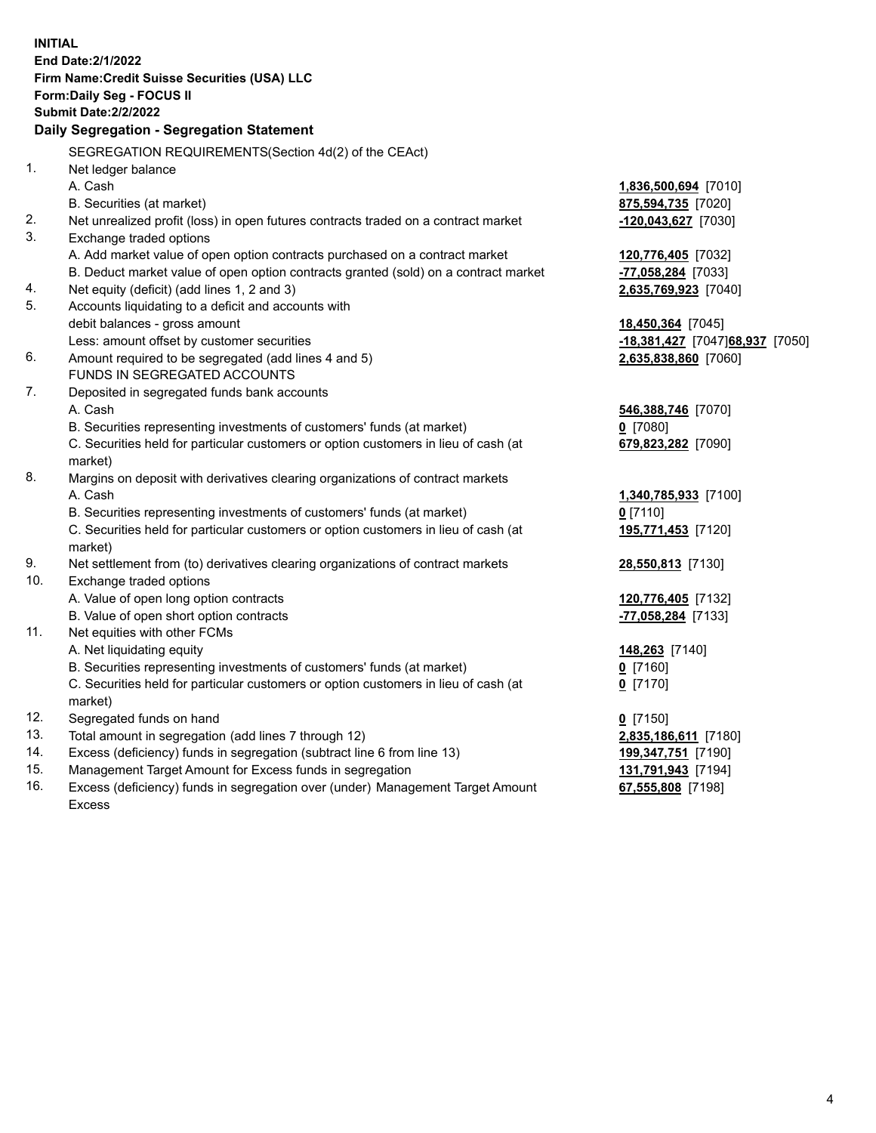| <b>INITIAL</b> | End Date: 2/1/2022<br>Firm Name: Credit Suisse Securities (USA) LLC<br>Form: Daily Seg - FOCUS II<br><b>Submit Date:2/2/2022</b><br>Daily Segregation - Segregation Statement |                                  |
|----------------|-------------------------------------------------------------------------------------------------------------------------------------------------------------------------------|----------------------------------|
|                | SEGREGATION REQUIREMENTS(Section 4d(2) of the CEAct)                                                                                                                          |                                  |
| 1 <sub>1</sub> | Net ledger balance                                                                                                                                                            |                                  |
|                | A. Cash                                                                                                                                                                       | 1,836,500,694 [7010]             |
|                | B. Securities (at market)                                                                                                                                                     | 875,594,735 [7020]               |
| 2.             | Net unrealized profit (loss) in open futures contracts traded on a contract market                                                                                            | -120,043,627 [7030]              |
| 3.             | Exchange traded options                                                                                                                                                       |                                  |
|                | A. Add market value of open option contracts purchased on a contract market                                                                                                   | 120,776,405 [7032]               |
|                | B. Deduct market value of open option contracts granted (sold) on a contract market                                                                                           | -77,058,284 [7033]               |
| 4.             | Net equity (deficit) (add lines 1, 2 and 3)                                                                                                                                   | 2,635,769,923 [7040]             |
| 5.             | Accounts liquidating to a deficit and accounts with                                                                                                                           |                                  |
|                | debit balances - gross amount                                                                                                                                                 | 18,450,364 [7045]                |
|                | Less: amount offset by customer securities                                                                                                                                    | -18,381,427 [7047] 68,937 [7050] |
| 6.             | Amount required to be segregated (add lines 4 and 5)                                                                                                                          | 2,635,838,860 [7060]             |
|                | FUNDS IN SEGREGATED ACCOUNTS                                                                                                                                                  |                                  |
| 7.             | Deposited in segregated funds bank accounts                                                                                                                                   |                                  |
|                | A. Cash                                                                                                                                                                       | 546,388,746 [7070]               |
|                | B. Securities representing investments of customers' funds (at market)                                                                                                        | $0$ [7080]                       |
|                | C. Securities held for particular customers or option customers in lieu of cash (at<br>market)                                                                                | 679,823,282 [7090]               |
| 8.             | Margins on deposit with derivatives clearing organizations of contract markets                                                                                                |                                  |
|                | A. Cash                                                                                                                                                                       | 1,340,785,933 [7100]             |
|                | B. Securities representing investments of customers' funds (at market)                                                                                                        | $0$ [7110]                       |
|                | C. Securities held for particular customers or option customers in lieu of cash (at                                                                                           | 195,771,453 [7120]               |
|                | market)                                                                                                                                                                       |                                  |
| 9.             | Net settlement from (to) derivatives clearing organizations of contract markets                                                                                               | 28,550,813 [7130]                |
| 10.            | Exchange traded options                                                                                                                                                       |                                  |
|                | A. Value of open long option contracts                                                                                                                                        | 120,776,405 [7132]               |
|                | B. Value of open short option contracts                                                                                                                                       | -77,058,284 [7133]               |
| 11.            | Net equities with other FCMs                                                                                                                                                  |                                  |
|                | A. Net liquidating equity                                                                                                                                                     | 148,263 [7140]                   |
|                | B. Securities representing investments of customers' funds (at market)                                                                                                        | 0 [7160]                         |
|                | C. Securities held for particular customers or option customers in lieu of cash (at                                                                                           | $0$ [7170]                       |
|                | market)                                                                                                                                                                       |                                  |
| 12.            | Segregated funds on hand                                                                                                                                                      | $0$ [7150]                       |
| 13.            | Total amount in segregation (add lines 7 through 12)                                                                                                                          | 2,835,186,611 [7180]             |
| 14.            | Excess (deficiency) funds in segregation (subtract line 6 from line 13)                                                                                                       | 199,347,751 [7190]               |
| 15.            | Management Target Amount for Excess funds in segregation                                                                                                                      | 131,791,943 [7194]               |
| 16.            | Excess (deficiency) funds in segregation over (under) Management Target Amount<br><b>Excess</b>                                                                               | 67,555,808 [7198]                |